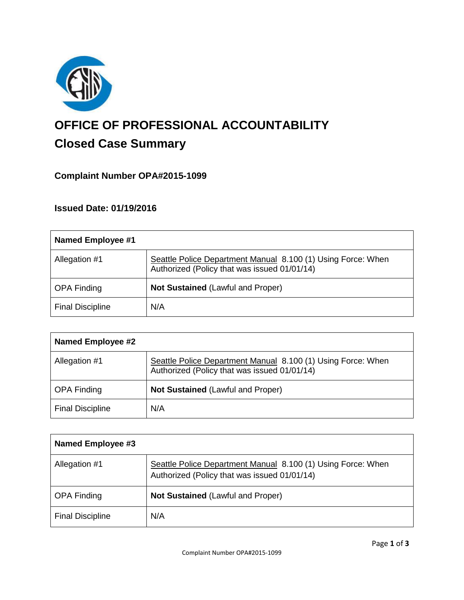

# **OFFICE OF PROFESSIONAL ACCOUNTABILITY Closed Case Summary**

## **Complaint Number OPA#2015-1099**

### **Issued Date: 01/19/2016**

| <b>Named Employee #1</b> |                                                                                                              |
|--------------------------|--------------------------------------------------------------------------------------------------------------|
| Allegation #1            | Seattle Police Department Manual 8.100 (1) Using Force: When<br>Authorized (Policy that was issued 01/01/14) |
| <b>OPA Finding</b>       | <b>Not Sustained (Lawful and Proper)</b>                                                                     |
| <b>Final Discipline</b>  | N/A                                                                                                          |

| <b>Named Employee #2</b> |                                                                                                              |
|--------------------------|--------------------------------------------------------------------------------------------------------------|
| Allegation #1            | Seattle Police Department Manual 8.100 (1) Using Force: When<br>Authorized (Policy that was issued 01/01/14) |
| <b>OPA Finding</b>       | <b>Not Sustained (Lawful and Proper)</b>                                                                     |
| <b>Final Discipline</b>  | N/A                                                                                                          |

| Named Employee #3       |                                                                                                              |
|-------------------------|--------------------------------------------------------------------------------------------------------------|
| Allegation #1           | Seattle Police Department Manual 8.100 (1) Using Force: When<br>Authorized (Policy that was issued 01/01/14) |
| <b>OPA Finding</b>      | <b>Not Sustained (Lawful and Proper)</b>                                                                     |
| <b>Final Discipline</b> | N/A                                                                                                          |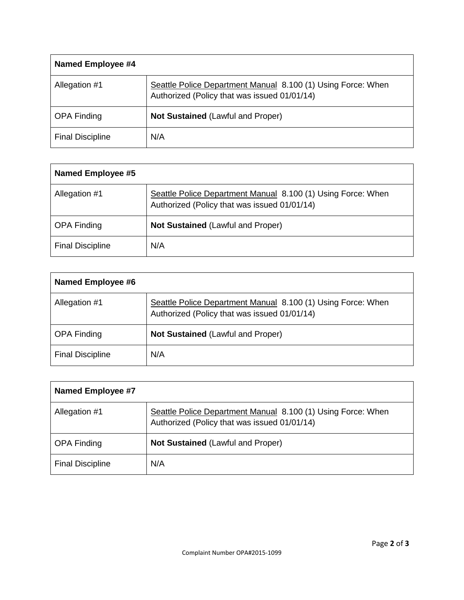| <b>Named Employee #4</b> |                                                                                                              |
|--------------------------|--------------------------------------------------------------------------------------------------------------|
| Allegation #1            | Seattle Police Department Manual 8.100 (1) Using Force: When<br>Authorized (Policy that was issued 01/01/14) |
| <b>OPA Finding</b>       | <b>Not Sustained (Lawful and Proper)</b>                                                                     |
| <b>Final Discipline</b>  | N/A                                                                                                          |

| <b>Named Employee #5</b> |                                                                                                              |
|--------------------------|--------------------------------------------------------------------------------------------------------------|
| Allegation #1            | Seattle Police Department Manual 8.100 (1) Using Force: When<br>Authorized (Policy that was issued 01/01/14) |
| <b>OPA Finding</b>       | <b>Not Sustained (Lawful and Proper)</b>                                                                     |
| <b>Final Discipline</b>  | N/A                                                                                                          |

| Named Employee #6       |                                                                                                              |
|-------------------------|--------------------------------------------------------------------------------------------------------------|
| Allegation #1           | Seattle Police Department Manual 8.100 (1) Using Force: When<br>Authorized (Policy that was issued 01/01/14) |
| <b>OPA Finding</b>      | <b>Not Sustained (Lawful and Proper)</b>                                                                     |
| <b>Final Discipline</b> | N/A                                                                                                          |

| <b>Named Employee #7</b> |                                                                                                              |
|--------------------------|--------------------------------------------------------------------------------------------------------------|
| Allegation #1            | Seattle Police Department Manual 8.100 (1) Using Force: When<br>Authorized (Policy that was issued 01/01/14) |
| <b>OPA Finding</b>       | <b>Not Sustained (Lawful and Proper)</b>                                                                     |
| <b>Final Discipline</b>  | N/A                                                                                                          |